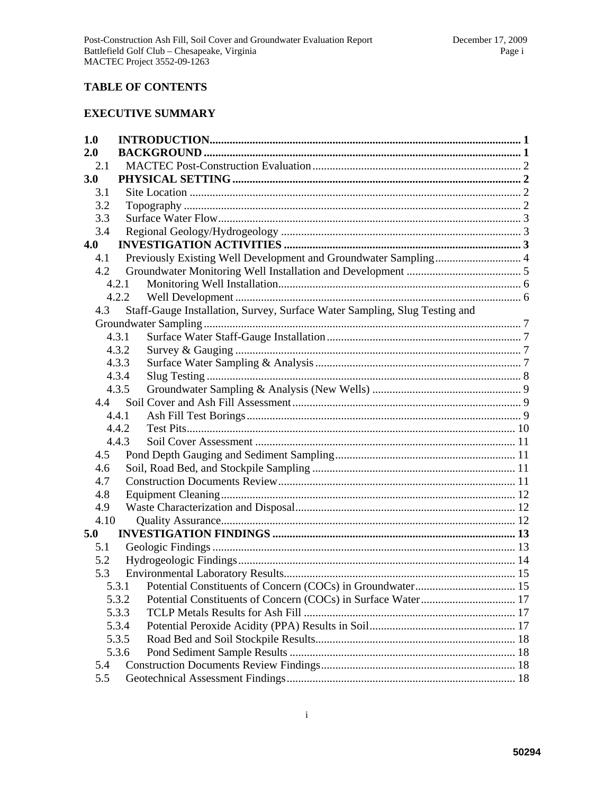## **TABLE OF CONTENTS**

# **EXECUTIVE SUMMARY**

| 1.0  |       |                                                                            |  |
|------|-------|----------------------------------------------------------------------------|--|
| 2.0  |       |                                                                            |  |
| 2.1  |       |                                                                            |  |
| 3.0  |       |                                                                            |  |
| 3.1  |       |                                                                            |  |
| 3.2  |       |                                                                            |  |
| 3.3  |       |                                                                            |  |
| 3.4  |       |                                                                            |  |
| 4.0  |       |                                                                            |  |
| 4.1  |       |                                                                            |  |
| 4.2  |       |                                                                            |  |
|      | 4.2.1 |                                                                            |  |
|      | 4.2.2 |                                                                            |  |
| 4.3  |       | Staff-Gauge Installation, Survey, Surface Water Sampling, Slug Testing and |  |
|      |       |                                                                            |  |
|      | 4.3.1 |                                                                            |  |
|      | 4.3.2 |                                                                            |  |
|      | 4.3.3 |                                                                            |  |
|      | 4.3.4 |                                                                            |  |
|      | 4.3.5 |                                                                            |  |
|      |       |                                                                            |  |
|      | 4.4.1 |                                                                            |  |
|      | 4.4.2 |                                                                            |  |
|      | 4.4.3 |                                                                            |  |
| 4.5  |       |                                                                            |  |
| 4.6  |       |                                                                            |  |
| 4.7  |       |                                                                            |  |
| 4.8  |       |                                                                            |  |
| 4.9  |       |                                                                            |  |
| 4.10 |       |                                                                            |  |
| 5.0  |       |                                                                            |  |
| 5.1  |       |                                                                            |  |
| 5.2  |       |                                                                            |  |
| 5.3  |       |                                                                            |  |
|      | 5.3.1 |                                                                            |  |
|      | 5.3.2 |                                                                            |  |
|      | 5.3.3 |                                                                            |  |
|      | 5.3.4 |                                                                            |  |
|      | 5.3.5 |                                                                            |  |
|      | 5.3.6 |                                                                            |  |
| 5.4  |       |                                                                            |  |
| 5.5  |       |                                                                            |  |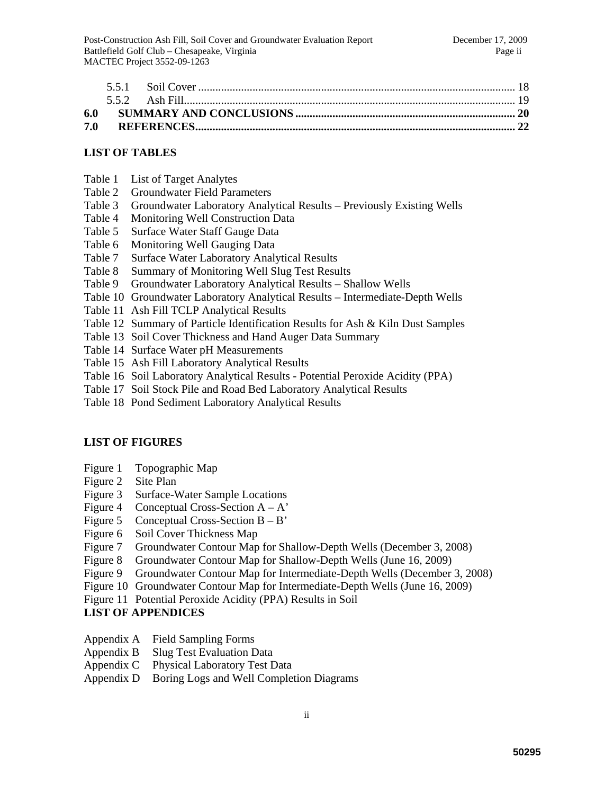| 7.0 |  |  |
|-----|--|--|

## **LIST OF TABLES**

- Table 1 List of Target Analytes
- Table 2 Groundwater Field Parameters
- Table 3 Groundwater Laboratory Analytical Results Previously Existing Wells
- Table 4 Monitoring Well Construction Data
- Table 5 Surface Water Staff Gauge Data
- Table 6 Monitoring Well Gauging Data
- Table 7 Surface Water Laboratory Analytical Results
- Table 8 Summary of Monitoring Well Slug Test Results
- Table 9 Groundwater Laboratory Analytical Results Shallow Wells
- Table 10 Groundwater Laboratory Analytical Results Intermediate-Depth Wells
- Table 11 Ash Fill TCLP Analytical Results
- Table 12 Summary of Particle Identification Results for Ash & Kiln Dust Samples
- Table 13 Soil Cover Thickness and Hand Auger Data Summary
- Table 14 Surface Water pH Measurements
- Table 15 Ash Fill Laboratory Analytical Results
- Table 16 Soil Laboratory Analytical Results Potential Peroxide Acidity (PPA)
- Table 17 Soil Stock Pile and Road Bed Laboratory Analytical Results
- Table 18 Pond Sediment Laboratory Analytical Results

### **LIST OF FIGURES**

- Figure 1 Topographic Map
- Figure 2 Site Plan
- Figure 3 Surface-Water Sample Locations
- Figure 4 Conceptual Cross-Section  $A A'$
- Figure 5 Conceptual Cross-Section  $B B'$
- Figure 6 Soil Cover Thickness Map
- Figure 7 Groundwater Contour Map for Shallow-Depth Wells (December 3, 2008)
- Figure 8 Groundwater Contour Map for Shallow-Depth Wells (June 16, 2009)
- Figure 9 Groundwater Contour Map for Intermediate-Depth Wells (December 3, 2008)
- Figure 10 Groundwater Contour Map for Intermediate-Depth Wells (June 16, 2009)
- Figure 11 Potential Peroxide Acidity (PPA) Results in Soil

### **LIST OF APPENDICES**

- Appendix A Field Sampling Forms
- Appendix B Slug Test Evaluation Data
- Appendix C Physical Laboratory Test Data
- Appendix D Boring Logs and Well Completion Diagrams